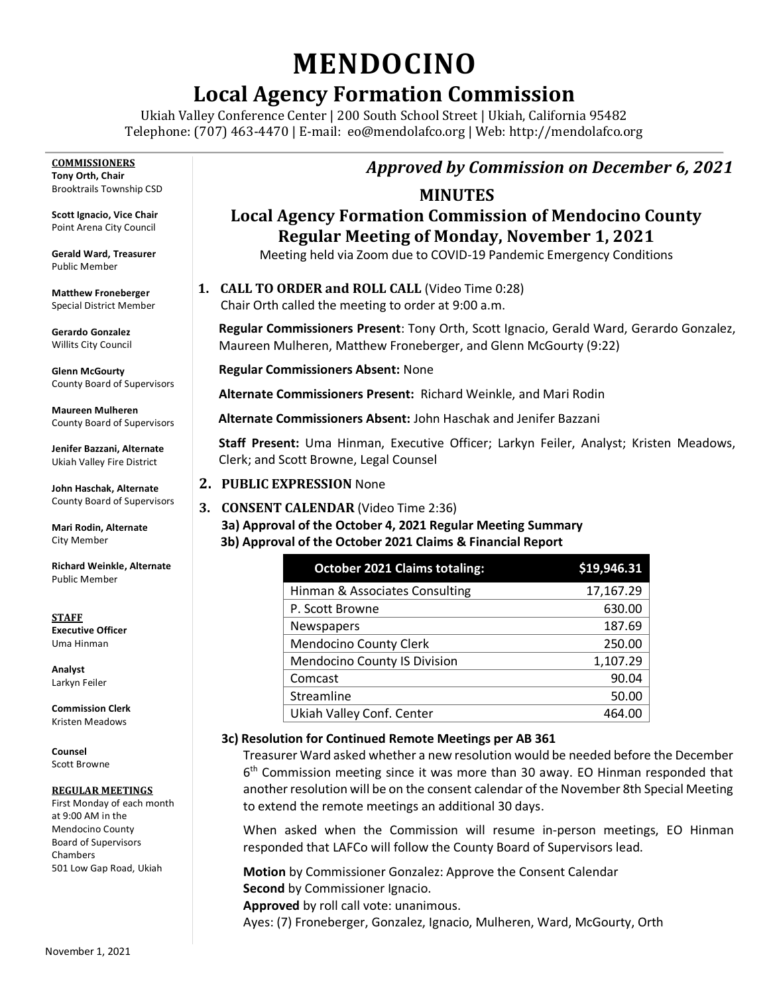# **MENDOCINO**

# **Local Agency Formation Commission**

Ukiah Valley Conference Center | 200 South School Street | Ukiah, California 95482 Telephone: (707) 463-4470 | E-mail: [eo@mendolafco.org](mailto:eo@mendolafco.org) | Web: http://mendolafco.org

**COMMISSIONERS Tony Orth, Chair** Brooktrails Township CSD

**Scott Ignacio, Vice Chair** Point Arena City Council

**Gerald Ward, Treasurer** Public Member

**Matthew Froneberger** Special District Member

**Gerardo Gonzalez** Willits City Council

**Glenn McGourty** County Board of Supervisors

**Maureen Mulheren** County Board of Supervisors

**Jenifer Bazzani, Alternate** Ukiah Valley Fire District

**John Haschak, Alternate** County Board of Supervisors

**Mari Rodin, Alternate** City Member

**Richard Weinkle, Alternate** Public Member

**STAFF Executive Officer** Uma Hinman

**Analyst** Larkyn Feiler

**Commission Clerk** Kristen Meadows

**Counsel** Scott Browne

#### **REGULAR MEETINGS**

First Monday of each month at 9:00 AM in the Mendocino County Board of Supervisors Chambers 501 Low Gap Road, Ukiah

# *Approved by Commission on December 6, 2021*

### **MINUTES**

# **Local Agency Formation Commission of Mendocino County Regular Meeting of Monday, November 1, 2021**

Meeting held via Zoom due to COVID-19 Pandemic Emergency Conditions

**1. CALL TO ORDER and ROLL CALL** (Video Time 0:28)

Chair Orth called the meeting to order at 9:00 a.m.

**Regular Commissioners Present**: Tony Orth, Scott Ignacio, Gerald Ward, Gerardo Gonzalez, Maureen Mulheren, Matthew Froneberger, and Glenn McGourty (9:22)

**Regular Commissioners Absent:** None

**Alternate Commissioners Present:** Richard Weinkle, and Mari Rodin

**Alternate Commissioners Absent:** John Haschak and Jenifer Bazzani

**Staff Present:** Uma Hinman, Executive Officer; Larkyn Feiler, Analyst; Kristen Meadows, Clerk; and Scott Browne, Legal Counsel

#### **2. PUBLIC EXPRESSION** None

#### **3. CONSENT CALENDAR** (Video Time 2:36) **3a) Approval of the October 4, 2021 Regular Meeting Summary 3b) Approval of the October 2021 Claims & Financial Report**

| <b>October 2021 Claims totaling:</b> | \$19,946.31 |
|--------------------------------------|-------------|
| Hinman & Associates Consulting       | 17,167.29   |
| P. Scott Browne                      | 630.00      |
| Newspapers                           | 187.69      |
| <b>Mendocino County Clerk</b>        | 250.00      |
| <b>Mendocino County IS Division</b>  | 1,107.29    |
| Comcast                              | 90.04       |
| Streamline                           | 50.00       |
| Ukiah Valley Conf. Center            | 464.00      |

#### **3c) Resolution for Continued Remote Meetings per AB 361**

Treasurer Ward asked whether a new resolution would be needed before the December 6<sup>th</sup> Commission meeting since it was more than 30 away. EO Hinman responded that another resolution will be on the consent calendar of the November 8th Special Meeting to extend the remote meetings an additional 30 days.

When asked when the Commission will resume in-person meetings, EO Hinman responded that LAFCo will follow the County Board of Supervisors lead.

**Motion** by Commissioner Gonzalez: Approve the Consent Calendar **Second** by Commissioner Ignacio. **Approved** by roll call vote: unanimous. Ayes: (7) Froneberger, Gonzalez, Ignacio, Mulheren, Ward, McGourty, Orth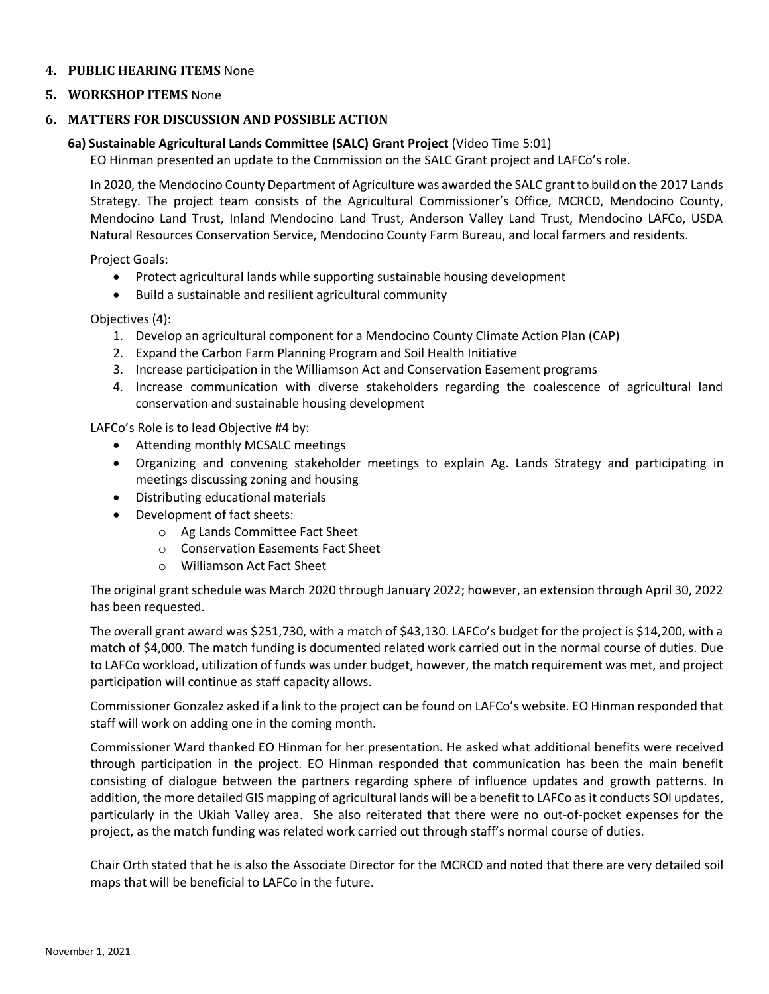#### **4. PUBLIC HEARING ITEMS** None

#### **5. WORKSHOP ITEMS** None

#### **6. MATTERS FOR DISCUSSION AND POSSIBLE ACTION**

#### **6a) Sustainable Agricultural Lands Committee (SALC) Grant Project** (Video Time 5:01)

EO Hinman presented an update to the Commission on the SALC Grant project and LAFCo's role.

In 2020, the Mendocino County Department of Agriculture was awarded the SALC grant to build on the 2017 Lands Strategy. The project team consists of the Agricultural Commissioner's Office, MCRCD, Mendocino County, Mendocino Land Trust, Inland Mendocino Land Trust, Anderson Valley Land Trust, Mendocino LAFCo, USDA Natural Resources Conservation Service, Mendocino County Farm Bureau, and local farmers and residents.

Project Goals:

- Protect agricultural lands while supporting sustainable housing development
- Build a sustainable and resilient agricultural community

Objectives (4):

- 1. Develop an agricultural component for a Mendocino County Climate Action Plan (CAP)
- 2. Expand the Carbon Farm Planning Program and Soil Health Initiative
- 3. Increase participation in the Williamson Act and Conservation Easement programs
- 4. Increase communication with diverse stakeholders regarding the coalescence of agricultural land conservation and sustainable housing development

LAFCo's Role is to lead Objective #4 by:

- Attending monthly MCSALC meetings
- Organizing and convening stakeholder meetings to explain Ag. Lands Strategy and participating in meetings discussing zoning and housing
- Distributing educational materials
- Development of fact sheets:
	- o Ag Lands Committee Fact Sheet
	- o Conservation Easements Fact Sheet
	- o Williamson Act Fact Sheet

The original grant schedule was March 2020 through January 2022; however, an extension through April 30, 2022 has been requested.

The overall grant award was \$251,730, with a match of \$43,130. LAFCo's budget for the project is \$14,200, with a match of \$4,000. The match funding is documented related work carried out in the normal course of duties. Due to LAFCo workload, utilization of funds was under budget, however, the match requirement was met, and project participation will continue as staff capacity allows.

Commissioner Gonzalez asked if a link to the project can be found on LAFCo's website. EO Hinman responded that staff will work on adding one in the coming month.

Commissioner Ward thanked EO Hinman for her presentation. He asked what additional benefits were received through participation in the project. EO Hinman responded that communication has been the main benefit consisting of dialogue between the partners regarding sphere of influence updates and growth patterns. In addition, the more detailed GIS mapping of agricultural lands will be a benefit to LAFCo as it conducts SOI updates, particularly in the Ukiah Valley area. She also reiterated that there were no out-of-pocket expenses for the project, as the match funding was related work carried out through staff's normal course of duties.

Chair Orth stated that he is also the Associate Director for the MCRCD and noted that there are very detailed soil maps that will be beneficial to LAFCo in the future.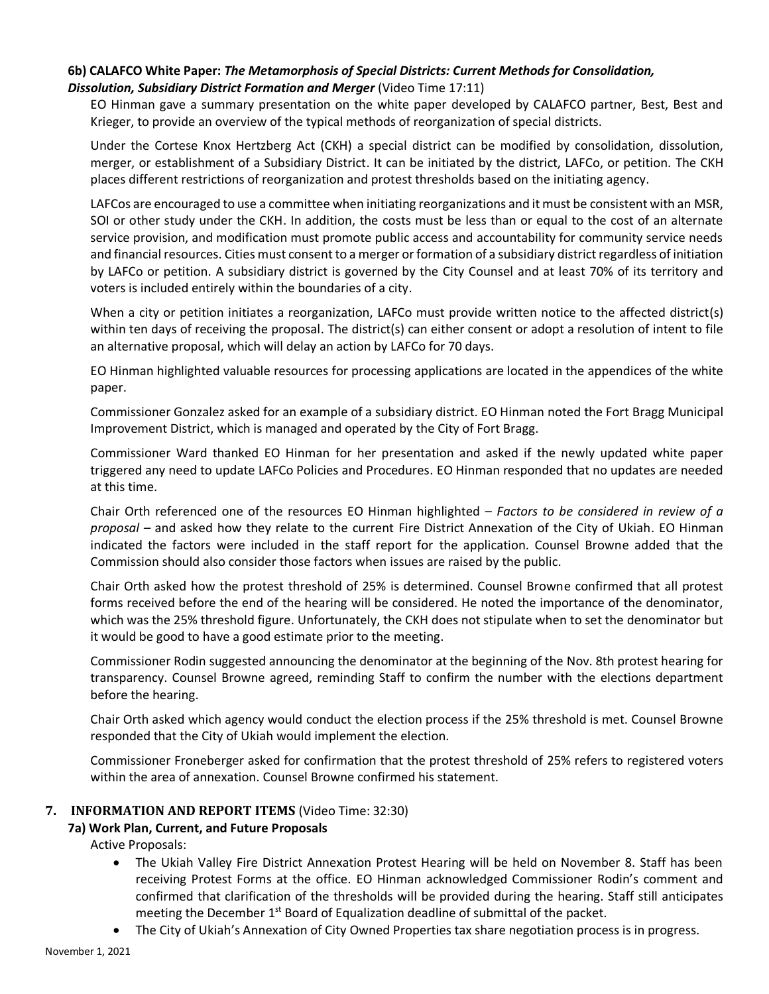#### **6b) CALAFCO White Paper:** *The Metamorphosis of Special Districts: Current Methods for Consolidation,*  **Dissolution, Subsidiary District Formation and Merger (Video Time 17:11)**

EO Hinman gave a summary presentation on the white paper developed by CALAFCO partner, Best, Best and Krieger, to provide an overview of the typical methods of reorganization of special districts.

Under the Cortese Knox Hertzberg Act (CKH) a special district can be modified by consolidation, dissolution, merger, or establishment of a Subsidiary District. It can be initiated by the district, LAFCo, or petition. The CKH places different restrictions of reorganization and protest thresholds based on the initiating agency.

LAFCos are encouraged to use a committee when initiating reorganizations and it must be consistent with an MSR, SOI or other study under the CKH. In addition, the costs must be less than or equal to the cost of an alternate service provision, and modification must promote public access and accountability for community service needs and financial resources. Cities must consent to a merger or formation of a subsidiary district regardless of initiation by LAFCo or petition. A subsidiary district is governed by the City Counsel and at least 70% of its territory and voters is included entirely within the boundaries of a city.

When a city or petition initiates a reorganization, LAFCo must provide written notice to the affected district(s) within ten days of receiving the proposal. The district(s) can either consent or adopt a resolution of intent to file an alternative proposal, which will delay an action by LAFCo for 70 days.

EO Hinman highlighted valuable resources for processing applications are located in the appendices of the white paper.

Commissioner Gonzalez asked for an example of a subsidiary district. EO Hinman noted the Fort Bragg Municipal Improvement District, which is managed and operated by the City of Fort Bragg.

Commissioner Ward thanked EO Hinman for her presentation and asked if the newly updated white paper triggered any need to update LAFCo Policies and Procedures. EO Hinman responded that no updates are needed at this time.

Chair Orth referenced one of the resources EO Hinman highlighted – *Factors to be considered in review of a proposal –* and asked how they relate to the current Fire District Annexation of the City of Ukiah. EO Hinman indicated the factors were included in the staff report for the application. Counsel Browne added that the Commission should also consider those factors when issues are raised by the public.

Chair Orth asked how the protest threshold of 25% is determined. Counsel Browne confirmed that all protest forms received before the end of the hearing will be considered. He noted the importance of the denominator, which was the 25% threshold figure. Unfortunately, the CKH does not stipulate when to set the denominator but it would be good to have a good estimate prior to the meeting.

Commissioner Rodin suggested announcing the denominator at the beginning of the Nov. 8th protest hearing for transparency. Counsel Browne agreed, reminding Staff to confirm the number with the elections department before the hearing.

Chair Orth asked which agency would conduct the election process if the 25% threshold is met. Counsel Browne responded that the City of Ukiah would implement the election.

Commissioner Froneberger asked for confirmation that the protest threshold of 25% refers to registered voters within the area of annexation. Counsel Browne confirmed his statement.

#### **7. INFORMATION AND REPORT ITEMS** (Video Time: 32:30)

#### **7a) Work Plan, Current, and Future Proposals**

Active Proposals:

- The Ukiah Valley Fire District Annexation Protest Hearing will be held on November 8. Staff has been receiving Protest Forms at the office. EO Hinman acknowledged Commissioner Rodin's comment and confirmed that clarification of the thresholds will be provided during the hearing. Staff still anticipates meeting the December  $1<sup>st</sup>$  Board of Equalization deadline of submittal of the packet.
- The City of Ukiah's Annexation of City Owned Properties tax share negotiation process is in progress.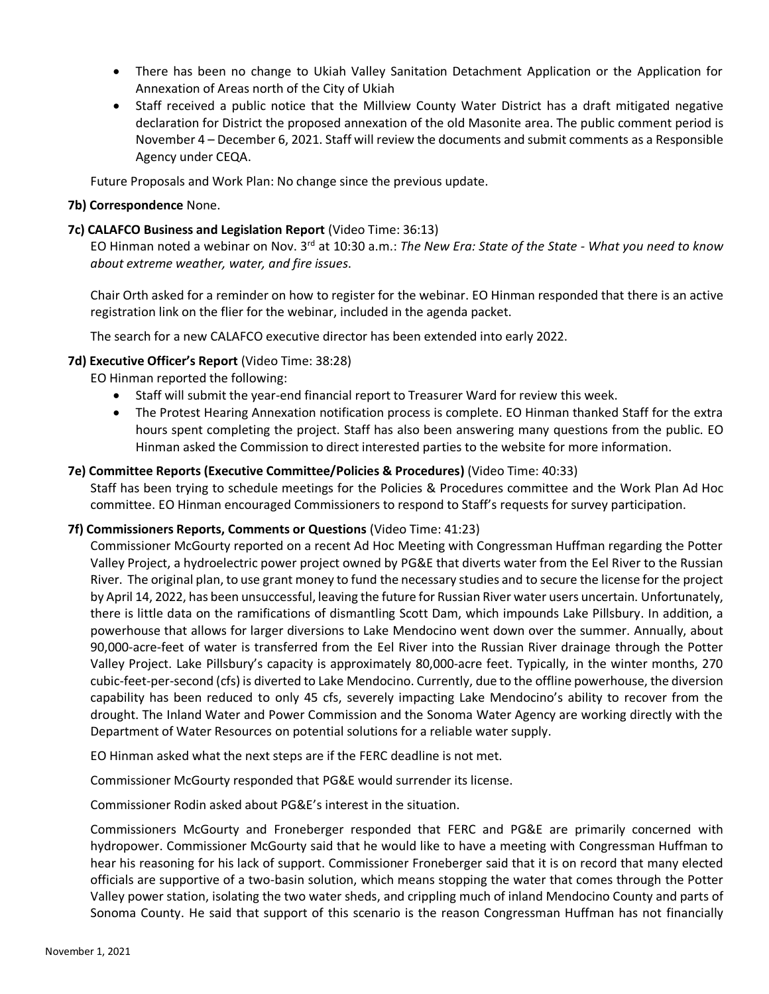- There has been no change to Ukiah Valley Sanitation Detachment Application or the Application for Annexation of Areas north of the City of Ukiah
- Staff received a public notice that the Millview County Water District has a draft mitigated negative declaration for District the proposed annexation of the old Masonite area. The public comment period is November 4 – December 6, 2021. Staff will review the documents and submit comments as a Responsible Agency under CEQA.

Future Proposals and Work Plan: No change since the previous update.

#### **7b) Correspondence** None.

#### **7c) CALAFCO Business and Legislation Report** (Video Time: 36:13)

EO Hinman noted a webinar on Nov. 3rd at 10:30 a.m.: *The New Era: State of the State - What you need to know about extreme weather, water, and fire issues*.

Chair Orth asked for a reminder on how to register for the webinar. EO Hinman responded that there is an active registration link on the flier for the webinar, included in the agenda packet.

The search for a new CALAFCO executive director has been extended into early 2022.

#### **7d) Executive Officer's Report** (Video Time: 38:28)

EO Hinman reported the following:

- Staff will submit the year-end financial report to Treasurer Ward for review this week.
- The Protest Hearing Annexation notification process is complete. EO Hinman thanked Staff for the extra hours spent completing the project. Staff has also been answering many questions from the public. EO Hinman asked the Commission to direct interested parties to the website for more information.

#### **7e) Committee Reports (Executive Committee/Policies & Procedures)** (Video Time: 40:33)

Staff has been trying to schedule meetings for the Policies & Procedures committee and the Work Plan Ad Hoc committee. EO Hinman encouraged Commissioners to respond to Staff's requests for survey participation.

#### **7f) Commissioners Reports, Comments or Questions** (Video Time: 41:23)

Commissioner McGourty reported on a recent Ad Hoc Meeting with Congressman Huffman regarding the Potter Valley Project, a hydroelectric power project owned by PG&E that diverts water from the Eel River to the Russian River. The original plan, to use grant money to fund the necessary studies and to secure the license for the project by April 14, 2022, has been unsuccessful, leaving the future for Russian River water users uncertain. Unfortunately, there is little data on the ramifications of dismantling Scott Dam, which impounds Lake Pillsbury. In addition, a powerhouse that allows for larger diversions to Lake Mendocino went down over the summer. Annually, about 90,000-acre-feet of water is transferred from the Eel River into the Russian River drainage through the Potter Valley Project. Lake Pillsbury's capacity is approximately 80,000-acre feet. Typically, in the winter months, 270 cubic-feet-per-second (cfs) is diverted to Lake Mendocino. Currently, due to the offline powerhouse, the diversion capability has been reduced to only 45 cfs, severely impacting Lake Mendocino's ability to recover from the drought. The Inland Water and Power Commission and the Sonoma Water Agency are working directly with the Department of Water Resources on potential solutions for a reliable water supply.

EO Hinman asked what the next steps are if the FERC deadline is not met.

Commissioner McGourty responded that PG&E would surrender its license.

Commissioner Rodin asked about PG&E's interest in the situation.

Commissioners McGourty and Froneberger responded that FERC and PG&E are primarily concerned with hydropower. Commissioner McGourty said that he would like to have a meeting with Congressman Huffman to hear his reasoning for his lack of support. Commissioner Froneberger said that it is on record that many elected officials are supportive of a two-basin solution, which means stopping the water that comes through the Potter Valley power station, isolating the two water sheds, and crippling much of inland Mendocino County and parts of Sonoma County. He said that support of this scenario is the reason Congressman Huffman has not financially